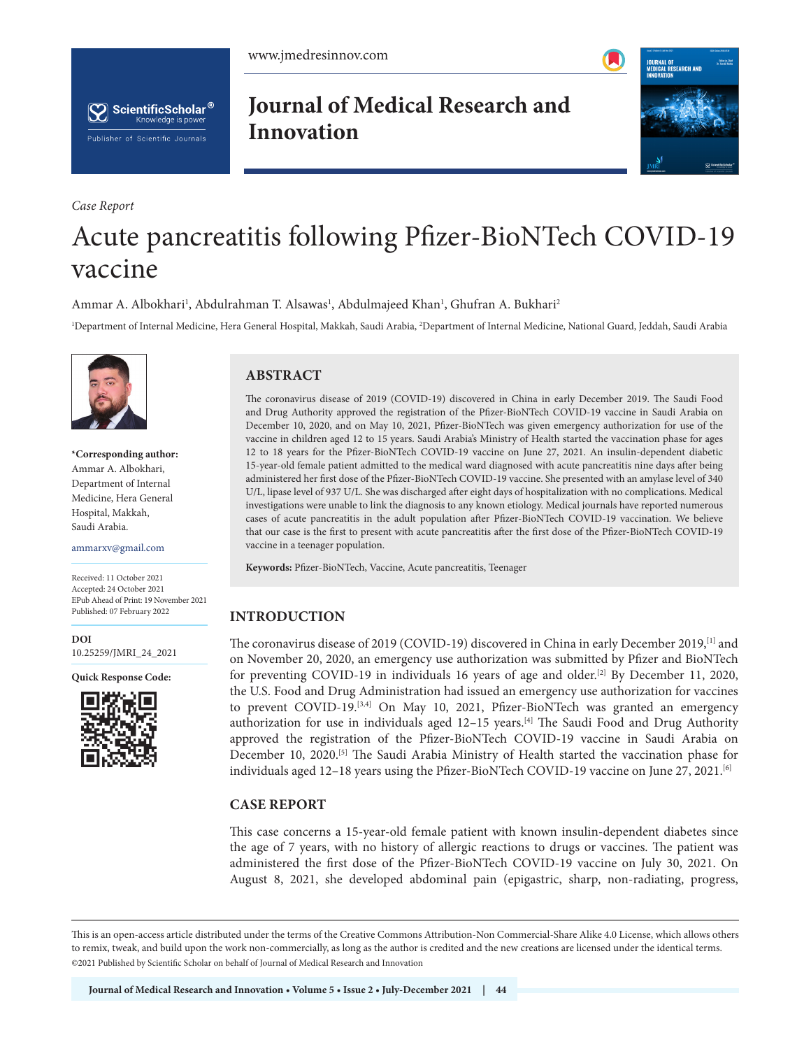



*Case Report*

**Journal of Medical Research and Innovation**



# Acute pancreatitis following Pfizer-BioNTech COVID-19 vaccine

Ammar A. Albokhari<sup>1</sup>, Abdulrahman T. Alsawas<sup>1</sup>, Abdulmajeed Khan<sup>1</sup>, Ghufran A. Bukhari<sup>2</sup>

<sup>1</sup>Department of Internal Medicine, Hera General Hospital, Makkah, Saudi Arabia, <sup>2</sup>Department of Internal Medicine, National Guard, Jeddah, Saudi Arabia



**\*Corresponding author:**  Ammar A. Albokhari, Department of Internal Medicine, Hera General Hospital, Makkah, Saudi Arabia.

ammarxv@gmail.com

Received: 11 October 2021 Accepted: 24 October 2021 EPub Ahead of Print: 19 November 2021 Published: 07 February 2022

**DOI** [10.25259/JMRI\\_24\\_2021](https://dx.doi.org/10.25259/JMRI_24_2021)

**Quick Response Code:**



# **ABSTRACT**

The coronavirus disease of 2019 (COVID-19) discovered in China in early December 2019. The Saudi Food and Drug Authority approved the registration of the Pfizer-BioNTech COVID-19 vaccine in Saudi Arabia on December 10, 2020, and on May 10, 2021, Pfizer-BioNTech was given emergency authorization for use of the vaccine in children aged 12 to 15 years. Saudi Arabia's Ministry of Health started the vaccination phase for ages 12 to 18 years for the Pfizer-BioNTech COVID-19 vaccine on June 27, 2021. An insulin-dependent diabetic 15-year-old female patient admitted to the medical ward diagnosed with acute pancreatitis nine days after being administered her first dose of the Pfizer-BioNTech COVID-19 vaccine. She presented with an amylase level of 340 U/L, lipase level of 937 U/L. She was discharged after eight days of hospitalization with no complications. Medical investigations were unable to link the diagnosis to any known etiology. Medical journals have reported numerous cases of acute pancreatitis in the adult population after Pfizer-BioNTech COVID-19 vaccination. We believe that our case is the first to present with acute pancreatitis after the first dose of the Pfizer-BioNTech COVID-19 vaccine in a teenager population.

**Keywords:** Pfizer-BioNTech, Vaccine, Acute pancreatitis, Teenager

# **INTRODUCTION**

The coronavirus disease of 2019 (COVID-19) discovered in China in early December 2019,[1] and on November 20, 2020, an emergency use authorization was submitted by Pfizer and BioNTech for preventing COVID-19 in individuals 16 years of age and older.[2] By December 11, 2020, the U.S. Food and Drug Administration had issued an emergency use authorization for vaccines to prevent COVID-19.<sup>[3,4]</sup> On May 10, 2021, Pfizer-BioNTech was granted an emergency authorization for use in individuals aged  $12-15$  years.<sup>[4]</sup> The Saudi Food and Drug Authority approved the registration of the Pfizer-BioNTech COVID-19 vaccine in Saudi Arabia on December 10, 2020.<sup>[5]</sup> The Saudi Arabia Ministry of Health started the vaccination phase for individuals aged 12-18 years using the Pfizer-BioNTech COVID-19 vaccine on June 27, 2021.<sup>[6]</sup>

# **CASE REPORT**

This case concerns a 15-year-old female patient with known insulin-dependent diabetes since the age of 7 years, with no history of allergic reactions to drugs or vaccines. The patient was administered the first dose of the Pfizer-BioNTech COVID-19 vaccine on July 30, 2021. On August 8, 2021, she developed abdominal pain (epigastric, sharp, non-radiating, progress,

is is an open-access article distributed under the terms of the Creative Commons Attribution-Non Commercial-Share Alike 4.0 License, which allows others to remix, tweak, and build upon the work non-commercially, as long as the author is credited and the new creations are licensed under the identical terms. ©2021 Published by Scientific Scholar on behalf of Journal of Medical Research and Innovation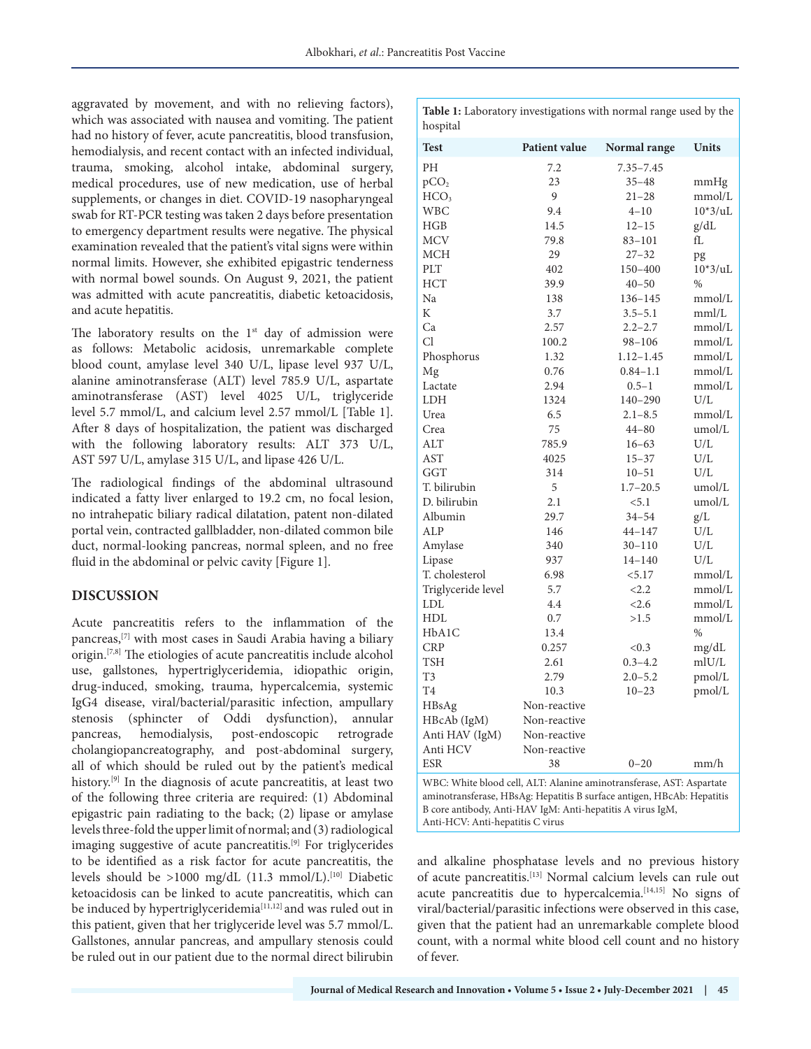aggravated by movement, and with no relieving factors), which was associated with nausea and vomiting. The patient had no history of fever, acute pancreatitis, blood transfusion, hemodialysis, and recent contact with an infected individual, trauma, smoking, alcohol intake, abdominal surgery, medical procedures, use of new medication, use of herbal supplements, or changes in diet. COVID-19 nasopharyngeal swab for RT-PCR testing was taken 2 days before presentation to emergency department results were negative. The physical examination revealed that the patient's vital signs were within normal limits. However, she exhibited epigastric tenderness with normal bowel sounds. On August 9, 2021, the patient was admitted with acute pancreatitis, diabetic ketoacidosis, and acute hepatitis.

The laboratory results on the  $1<sup>st</sup>$  day of admission were as follows: Metabolic acidosis, unremarkable complete blood count, amylase level 340 U/L, lipase level 937 U/L, alanine aminotransferase (ALT) level 785.9 U/L, aspartate aminotransferase (AST) level 4025 U/L, triglyceride level 5.7 mmol/L, and calcium level 2.57 mmol/L [Table 1]. After 8 days of hospitalization, the patient was discharged with the following laboratory results: ALT 373 U/L, AST 597 U/L, amylase 315 U/L, and lipase 426 U/L.

The radiological findings of the abdominal ultrasound indicated a fatty liver enlarged to 19.2 cm, no focal lesion, no intrahepatic biliary radical dilatation, patent non-dilated portal vein, contracted gallbladder, non-dilated common bile duct, normal-looking pancreas, normal spleen, and no free fluid in the abdominal or pelvic cavity [Figure 1].

## **DISCUSSION**

Acute pancreatitis refers to the inflammation of the pancreas,[7] with most cases in Saudi Arabia having a biliary origin.[7,8] The etiologies of acute pancreatitis include alcohol use, gallstones, hypertriglyceridemia, idiopathic origin, drug-induced, smoking, trauma, hypercalcemia, systemic IgG4 disease, viral/bacterial/parasitic infection, ampullary stenosis (sphincter of Oddi dysfunction), annular pancreas, hemodialysis, post-endoscopic retrograde cholangiopancreatography, and post-abdominal surgery, all of which should be ruled out by the patient's medical history.<sup>[9]</sup> In the diagnosis of acute pancreatitis, at least two of the following three criteria are required: (1) Abdominal epigastric pain radiating to the back; (2) lipase or amylase levels three-fold the upper limit of normal; and (3) radiological imaging suggestive of acute pancreatitis.[9] For triglycerides to be identified as a risk factor for acute pancreatitis, the levels should be  $>1000$  mg/dL (11.3 mmol/L).<sup>[10]</sup> Diabetic ketoacidosis can be linked to acute pancreatitis, which can be induced by hypertriglyceridemia<sup>[11,12]</sup> and was ruled out in this patient, given that her triglyceride level was 5.7 mmol/L. Gallstones, annular pancreas, and ampullary stenosis could be ruled out in our patient due to the normal direct bilirubin

| <b>Table 1:</b> Laboratory investigations with normal range used by the |  |
|-------------------------------------------------------------------------|--|
| hospital                                                                |  |

| <b>Test</b>                                                                                                                                    | Patient value | Normal range  | <b>Units</b>       |  |
|------------------------------------------------------------------------------------------------------------------------------------------------|---------------|---------------|--------------------|--|
| PH                                                                                                                                             | 7.2           | $7.35 - 7.45$ |                    |  |
| pCO <sub>2</sub>                                                                                                                               | 23            | $35 - 48$     | mmHg               |  |
| HCO <sub>3</sub>                                                                                                                               | 9             | 21–28         | mmol/L             |  |
| WBC                                                                                                                                            | 9.4           | $4 - 10$      | $10*3/uL$          |  |
| HGB                                                                                                                                            | 14.5          | $12 - 15$     | g/dL               |  |
| <b>MCV</b>                                                                                                                                     | 79.8          | 83-101        | fL                 |  |
| MCH                                                                                                                                            | 29            | $27 - 32$     | pg                 |  |
| PLT                                                                                                                                            | 402           | 150-400       | $10*3/uL$          |  |
| HCT                                                                                                                                            | 39.9          | $40 - 50$     | $\frac{0}{0}$      |  |
| Na                                                                                                                                             | 138           | 136-145       | mmol/L             |  |
| K                                                                                                                                              | 3.7           | $3.5 - 5.1$   | mm/L               |  |
| Ca                                                                                                                                             | 2.57          | $2.2 - 2.7$   | mmol/L             |  |
| Cl                                                                                                                                             | 100.2         | 98-106        | mmol/L             |  |
| Phosphorus                                                                                                                                     | 1.32          | $1.12 - 1.45$ | mmol/L             |  |
| Mg                                                                                                                                             | 0.76          | $0.84 - 1.1$  | mmol/L             |  |
| Lactate                                                                                                                                        | 2.94          | $0.5 - 1$     | mmol/L             |  |
| LDH                                                                                                                                            | 1324          | $140 - 290$   | U/L                |  |
| Urea                                                                                                                                           | 6.5           | $2.1 - 8.5$   | mmol/L             |  |
| Crea                                                                                                                                           | 75            | $44 - 80$     | umol/L             |  |
| ALT                                                                                                                                            | 785.9         | 16–63         | U/L                |  |
| <b>AST</b>                                                                                                                                     | 4025          | 15–37         | U/L                |  |
| <b>GGT</b>                                                                                                                                     | 314           | 10–51         | U/L                |  |
| T. bilirubin                                                                                                                                   | 5             | $1.7 - 20.5$  | umol/L             |  |
| D. bilirubin                                                                                                                                   | 2.1           | < 5.1         | umol/L             |  |
| Albumin                                                                                                                                        | 29.7          | 34–54         | g/L                |  |
| ALP                                                                                                                                            | 146           | $44 - 147$    | U/L                |  |
| Amylase                                                                                                                                        | 340           | $30 - 110$    | U/L                |  |
| Lipase                                                                                                                                         | 937           | $14 - 140$    | U/L                |  |
| T. cholesterol                                                                                                                                 | 6.98          | < 5.17        | mmol/L             |  |
| Triglyceride level                                                                                                                             | 5.7           | < 2.2         | mmol/L             |  |
| LDL                                                                                                                                            | 4.4           | <2.6          | mmol/L             |  |
| HDL                                                                                                                                            | 0.7           | >1.5          | mmol/L             |  |
| HbA1C                                                                                                                                          | 13.4          |               | $\frac{0}{0}$      |  |
| <b>CRP</b>                                                                                                                                     | 0.257         | < 0.3         | mg/dL              |  |
| <b>TSH</b>                                                                                                                                     | 2.61          | $0.3 - 4.2$   | m <sub>IU</sub> /L |  |
| T3                                                                                                                                             | 2.79          | $2.0 - 5.2$   | pmol/L             |  |
| T <sub>4</sub>                                                                                                                                 | 10.3          | $10 - 23$     | pmol/L             |  |
| HBsAg                                                                                                                                          | Non-reactive  |               |                    |  |
| HBcAb (IgM)                                                                                                                                    | Non-reactive  |               |                    |  |
| Anti HAV (IgM)                                                                                                                                 | Non-reactive  |               |                    |  |
| Anti HCV                                                                                                                                       | Non-reactive  |               |                    |  |
| ESR                                                                                                                                            | 38            | $0 - 20$      | mm/h               |  |
|                                                                                                                                                |               |               |                    |  |
| WBC: White blood cell, ALT: Alanine aminotransferase, AST: Aspartate<br>aminotransferase, HBsAg: Hepatitis B surface antigen, HBcAb: Hepatitis |               |               |                    |  |
| B core antibody, Anti-HAV IgM: Anti-hepatitis A virus IgM,                                                                                     |               |               |                    |  |
| Anti-HCV: Anti-hepatitis C virus                                                                                                               |               |               |                    |  |

and alkaline phosphatase levels and no previous history of acute pancreatitis.[13] Normal calcium levels can rule out acute pancreatitis due to hypercalcemia.<sup>[14,15]</sup> No signs of viral/bacterial/parasitic infections were observed in this case, given that the patient had an unremarkable complete blood count, with a normal white blood cell count and no history of fever.